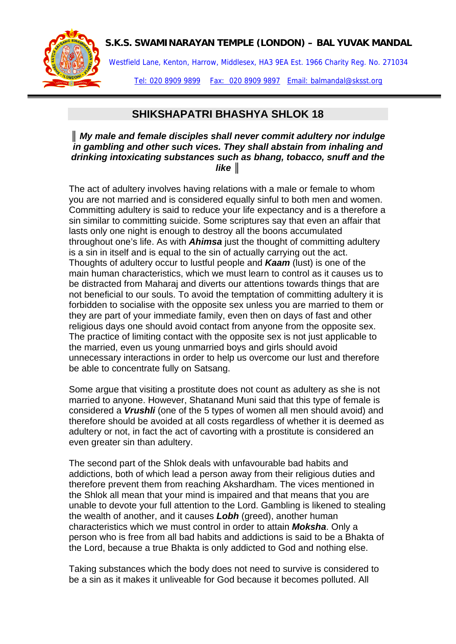## **S.K.S. SWAMINARAYAN TEMPLE (LONDON) – BAL YUVAK MANDAL**



Westfield Lane, Kenton, Harrow, Middlesex, HA3 9EA Est. 1966 Charity Reg. No. 271034

Tel: 020 8909 9899 Fax: 020 8909 9897 Email: balmandal@sksst.org

## **SHIKSHAPATRI BHASHYA SHLOK 18**

*║ My male and female disciples shall never commit adultery nor indulge in gambling and other such vices. They shall abstain from inhaling and drinking intoxicating substances such as bhang, tobacco, snuff and the like ║*

The act of adultery involves having relations with a male or female to whom you are not married and is considered equally sinful to both men and women. Committing adultery is said to reduce your life expectancy and is a therefore a sin similar to committing suicide. Some scriptures say that even an affair that lasts only one night is enough to destroy all the boons accumulated throughout one's life. As with *Ahimsa* just the thought of committing adultery is a sin in itself and is equal to the sin of actually carrying out the act. Thoughts of adultery occur to lustful people and *Kaam* (lust) is one of the main human characteristics, which we must learn to control as it causes us to be distracted from Maharaj and diverts our attentions towards things that are not beneficial to our souls. To avoid the temptation of committing adultery it is forbidden to socialise with the opposite sex unless you are married to them or they are part of your immediate family, even then on days of fast and other religious days one should avoid contact from anyone from the opposite sex. The practice of limiting contact with the opposite sex is not just applicable to the married, even us young unmarried boys and girls should avoid unnecessary interactions in order to help us overcome our lust and therefore be able to concentrate fully on Satsang.

Some argue that visiting a prostitute does not count as adultery as she is not married to anyone. However, Shatanand Muni said that this type of female is considered a *Vrushli* (one of the 5 types of women all men should avoid) and therefore should be avoided at all costs regardless of whether it is deemed as adultery or not, in fact the act of cavorting with a prostitute is considered an even greater sin than adultery.

The second part of the Shlok deals with unfavourable bad habits and addictions, both of which lead a person away from their religious duties and therefore prevent them from reaching Akshardham. The vices mentioned in the Shlok all mean that your mind is impaired and that means that you are unable to devote your full attention to the Lord. Gambling is likened to stealing the wealth of another, and it causes *Lobh* (greed), another human characteristics which we must control in order to attain *Moksha*. Only a person who is free from all bad habits and addictions is said to be a Bhakta of the Lord, because a true Bhakta is only addicted to God and nothing else.

Taking substances which the body does not need to survive is considered to be a sin as it makes it unliveable for God because it becomes polluted. All